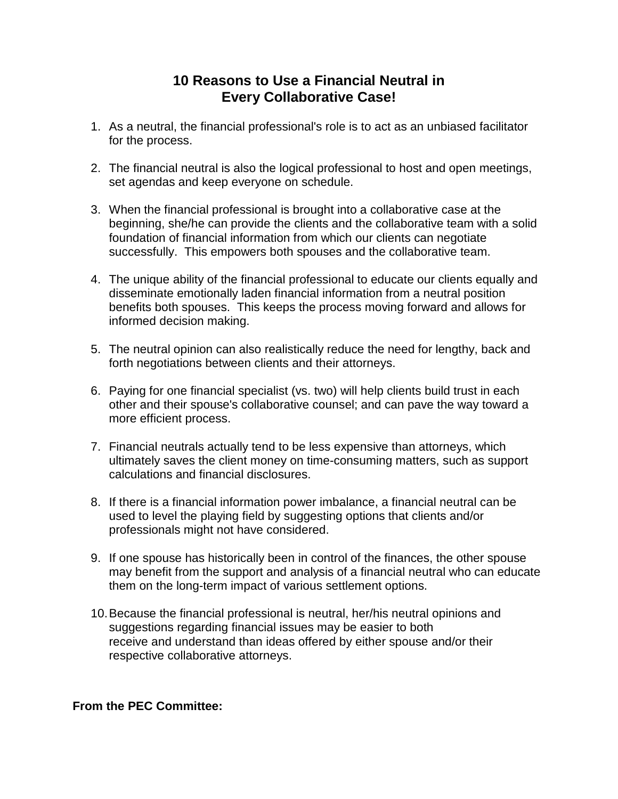## **10 Reasons to Use a Financial Neutral in Every Collaborative Case!**

- 1. As a neutral, the financial professional's role is to act as an unbiased facilitator for the process.
- 2. The financial neutral is also the logical professional to host and open meetings, set agendas and keep everyone on schedule.
- 3. When the financial professional is brought into a collaborative case at the beginning, she/he can provide the clients and the collaborative team with a solid foundation of financial information from which our clients can negotiate successfully. This empowers both spouses and the collaborative team.
- 4. The unique ability of the financial professional to educate our clients equally and disseminate emotionally laden financial information from a neutral position benefits both spouses. This keeps the process moving forward and allows for informed decision making.
- 5. The neutral opinion can also realistically reduce the need for lengthy, back and forth negotiations between clients and their attorneys.
- 6. Paying for one financial specialist (vs. two) will help clients build trust in each other and their spouse's collaborative counsel; and can pave the way toward a more efficient process.
- 7. Financial neutrals actually tend to be less expensive than attorneys, which ultimately saves the client money on time-consuming matters, such as support calculations and financial disclosures.
- 8. If there is a financial information power imbalance, a financial neutral can be used to level the playing field by suggesting options that clients and/or professionals might not have considered.
- 9. If one spouse has historically been in control of the finances, the other spouse may benefit from the support and analysis of a financial neutral who can educate them on the long-term impact of various settlement options.
- 10.Because the financial professional is neutral, her/his neutral opinions and suggestions regarding financial issues may be easier to both receive and understand than ideas offered by either spouse and/or their respective collaborative attorneys.

**From the PEC Committee:**